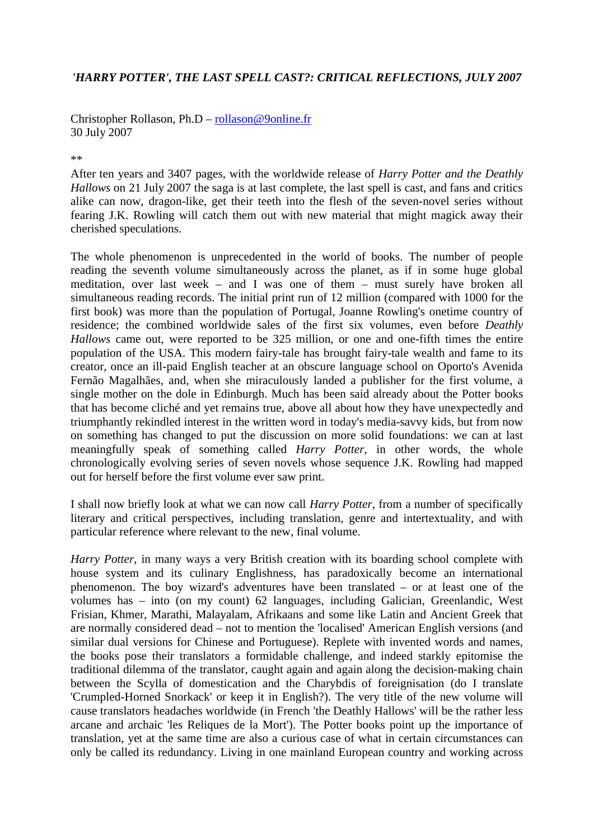## *'HARRY POTTER', THE LAST SPELL CAST?: CRITICAL REFLECTIONS, JULY 2007*

Christopher Rollason, Ph.D – rollason@9online.fr 30 July 2007

\*\*

After ten years and 3407 pages, with the worldwide release of *Harry Potter and the Deathly Hallows* on 21 July 2007 the saga is at last complete, the last spell is cast, and fans and critics alike can now, dragon-like, get their teeth into the flesh of the seven-novel series without fearing J.K. Rowling will catch them out with new material that might magick away their cherished speculations.

The whole phenomenon is unprecedented in the world of books. The number of people reading the seventh volume simultaneously across the planet, as if in some huge global meditation, over last week – and I was one of them – must surely have broken all simultaneous reading records. The initial print run of 12 million (compared with 1000 for the first book) was more than the population of Portugal, Joanne Rowling's onetime country of residence; the combined worldwide sales of the first six volumes, even before *Deathly Hallows* came out, were reported to be 325 million, or one and one-fifth times the entire population of the USA. This modern fairy-tale has brought fairy-tale wealth and fame to its creator, once an ill-paid English teacher at an obscure language school on Oporto's Avenida Fernão Magalhães, and, when she miraculously landed a publisher for the first volume, a single mother on the dole in Edinburgh. Much has been said already about the Potter books that has become cliché and yet remains true, above all about how they have unexpectedly and triumphantly rekindled interest in the written word in today's media-savvy kids, but from now on something has changed to put the discussion on more solid foundations: we can at last meaningfully speak of something called *Harry Potter*, in other words, the whole chronologically evolving series of seven novels whose sequence J.K. Rowling had mapped out for herself before the first volume ever saw print.

I shall now briefly look at what we can now call *Harry Potter*, from a number of specifically literary and critical perspectives, including translation, genre and intertextuality, and with particular reference where relevant to the new, final volume.

*Harry Potter*, in many ways a very British creation with its boarding school complete with house system and its culinary Englishness, has paradoxically become an international phenomenon. The boy wizard's adventures have been translated – or at least one of the volumes has – into (on my count) 62 languages, including Galician, Greenlandic, West Frisian, Khmer, Marathi, Malayalam, Afrikaans and some like Latin and Ancient Greek that are normally considered dead – not to mention the 'localised' American English versions (and similar dual versions for Chinese and Portuguese). Replete with invented words and names, the books pose their translators a formidable challenge, and indeed starkly epitomise the traditional dilemma of the translator, caught again and again along the decision-making chain between the Scylla of domestication and the Charybdis of foreignisation (do I translate 'Crumpled-Horned Snorkack' or keep it in English?). The very title of the new volume will cause translators headaches worldwide (in French 'the Deathly Hallows' will be the rather less arcane and archaic 'les Reliques de la Mort'). The Potter books point up the importance of translation, yet at the same time are also a curious case of what in certain circumstances can only be called its redundancy. Living in one mainland European country and working across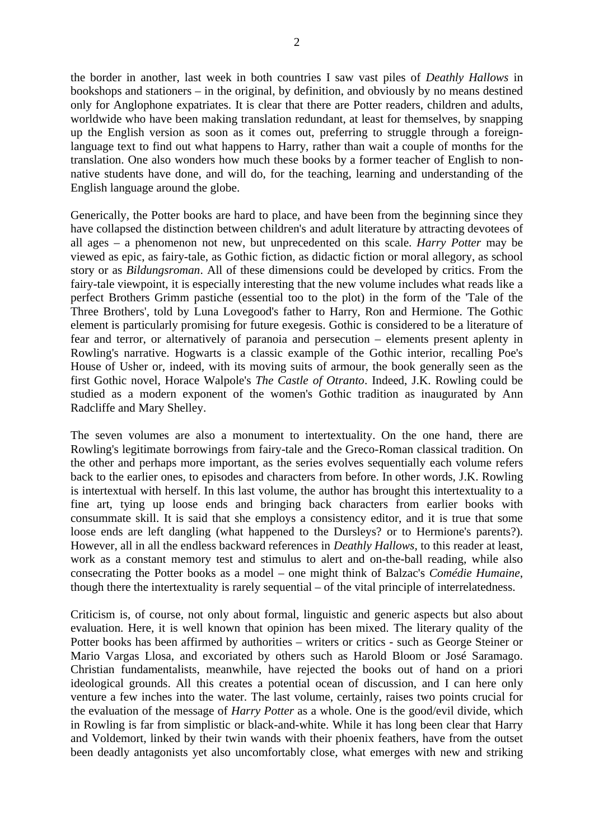the border in another, last week in both countries I saw vast piles of *Deathly Hallows* in bookshops and stationers – in the original, by definition, and obviously by no means destined only for Anglophone expatriates. It is clear that there are Potter readers, children and adults, worldwide who have been making translation redundant, at least for themselves, by snapping up the English version as soon as it comes out, preferring to struggle through a foreignlanguage text to find out what happens to Harry, rather than wait a couple of months for the translation. One also wonders how much these books by a former teacher of English to nonnative students have done, and will do, for the teaching, learning and understanding of the English language around the globe.

Generically, the Potter books are hard to place, and have been from the beginning since they have collapsed the distinction between children's and adult literature by attracting devotees of all ages – a phenomenon not new, but unprecedented on this scale. *Harry Potter* may be viewed as epic, as fairy-tale, as Gothic fiction, as didactic fiction or moral allegory, as school story or as *Bildungsroman*. All of these dimensions could be developed by critics. From the fairy-tale viewpoint, it is especially interesting that the new volume includes what reads like a perfect Brothers Grimm pastiche (essential too to the plot) in the form of the 'Tale of the Three Brothers', told by Luna Lovegood's father to Harry, Ron and Hermione. The Gothic element is particularly promising for future exegesis. Gothic is considered to be a literature of fear and terror, or alternatively of paranoia and persecution – elements present aplenty in Rowling's narrative. Hogwarts is a classic example of the Gothic interior, recalling Poe's House of Usher or, indeed, with its moving suits of armour, the book generally seen as the first Gothic novel, Horace Walpole's *The Castle of Otranto*. Indeed, J.K. Rowling could be studied as a modern exponent of the women's Gothic tradition as inaugurated by Ann Radcliffe and Mary Shelley.

The seven volumes are also a monument to intertextuality. On the one hand, there are Rowling's legitimate borrowings from fairy-tale and the Greco-Roman classical tradition. On the other and perhaps more important, as the series evolves sequentially each volume refers back to the earlier ones, to episodes and characters from before. In other words, J.K. Rowling is intertextual with herself. In this last volume, the author has brought this intertextuality to a fine art, tying up loose ends and bringing back characters from earlier books with consummate skill. It is said that she employs a consistency editor, and it is true that some loose ends are left dangling (what happened to the Dursleys? or to Hermione's parents?). However, all in all the endless backward references in *Deathly Hallows*, to this reader at least, work as a constant memory test and stimulus to alert and on-the-ball reading, while also consecrating the Potter books as a model – one might think of Balzac's *Comédie Humaine*, though there the intertextuality is rarely sequential – of the vital principle of interrelatedness.

Criticism is, of course, not only about formal, linguistic and generic aspects but also about evaluation. Here, it is well known that opinion has been mixed. The literary quality of the Potter books has been affirmed by authorities – writers or critics - such as George Steiner or Mario Vargas Llosa, and excoriated by others such as Harold Bloom or José Saramago. Christian fundamentalists, meanwhile, have rejected the books out of hand on a priori ideological grounds. All this creates a potential ocean of discussion, and I can here only venture a few inches into the water. The last volume, certainly, raises two points crucial for the evaluation of the message of *Harry Potter* as a whole. One is the good/evil divide, which in Rowling is far from simplistic or black-and-white. While it has long been clear that Harry and Voldemort, linked by their twin wands with their phoenix feathers, have from the outset been deadly antagonists yet also uncomfortably close, what emerges with new and striking